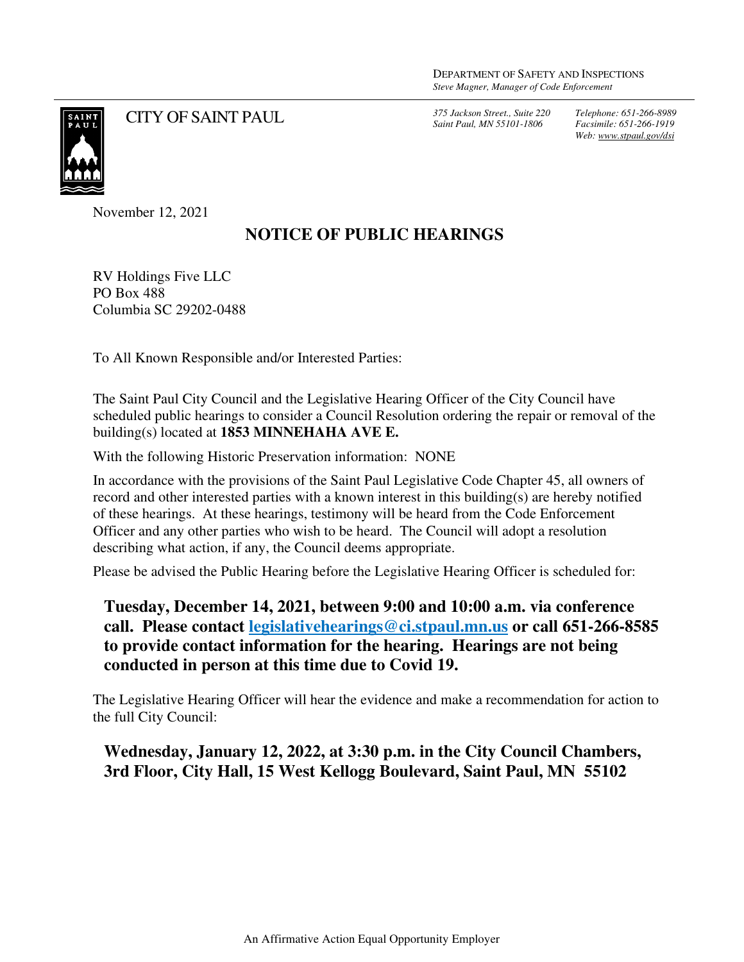*Saint Paul, MN 55101-1806*

*Telephone: 651-266-8989 Facsimile: 651-266-1919 Web: www.stpaul.gov/dsi*



CITY OF SAINT PAUL *375 Jackson Street., Suite 220* 

November 12, 2021

## **NOTICE OF PUBLIC HEARINGS**

RV Holdings Five LLC PO Box 488 Columbia SC 29202-0488

To All Known Responsible and/or Interested Parties:

The Saint Paul City Council and the Legislative Hearing Officer of the City Council have scheduled public hearings to consider a Council Resolution ordering the repair or removal of the building(s) located at **1853 MINNEHAHA AVE E.** 

With the following Historic Preservation information: NONE

In accordance with the provisions of the Saint Paul Legislative Code Chapter 45, all owners of record and other interested parties with a known interest in this building(s) are hereby notified of these hearings. At these hearings, testimony will be heard from the Code Enforcement Officer and any other parties who wish to be heard. The Council will adopt a resolution describing what action, if any, the Council deems appropriate.

Please be advised the Public Hearing before the Legislative Hearing Officer is scheduled for:

**Tuesday, December 14, 2021, between 9:00 and 10:00 a.m. via conference call. Please contact legislativehearings@ci.stpaul.mn.us or call 651-266-8585 to provide contact information for the hearing. Hearings are not being conducted in person at this time due to Covid 19.** 

The Legislative Hearing Officer will hear the evidence and make a recommendation for action to the full City Council:

**Wednesday, January 12, 2022, at 3:30 p.m. in the City Council Chambers, 3rd Floor, City Hall, 15 West Kellogg Boulevard, Saint Paul, MN 55102**